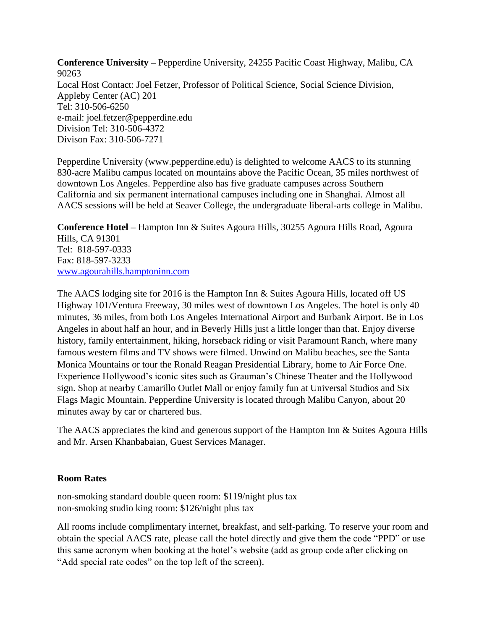**Conference University –** Pepperdine University, 24255 Pacific Coast Highway, Malibu, CA 90263 Local Host Contact: Joel Fetzer, Professor of Political Science, Social Science Division, Appleby Center (AC) 201 Tel: 310-506-6250 e-mail: joel.fetzer@pepperdine.edu Division Tel: 310-506-4372 Divison Fax: 310-506-7271

Pepperdine University (www.pepperdine.edu) is delighted to welcome AACS to its stunning 830-acre Malibu campus located on mountains above the Pacific Ocean, 35 miles northwest of downtown Los Angeles. Pepperdine also has five graduate campuses across Southern California and six permanent international campuses including one in Shanghai. Almost all AACS sessions will be held at Seaver College, the undergraduate liberal-arts college in Malibu.

**Conference Hotel –** Hampton Inn & Suites Agoura Hills, 30255 Agoura Hills Road, Agoura Hills, CA 91301 Tel: 818-597-0333 Fax: 818-597-3233 [www.agourahills.hamptoninn.com](http://www.agourahills.hamptoninn.com/) 

The AACS lodging site for 2016 is the Hampton Inn & Suites Agoura Hills, located off US Highway 101/Ventura Freeway, 30 miles west of downtown Los Angeles. The hotel is only 40 minutes, 36 miles, from both Los Angeles International Airport and Burbank Airport. Be in Los Angeles in about half an hour, and in Beverly Hills just a little longer than that. Enjoy diverse history, family entertainment, hiking, horseback riding or visit Paramount Ranch, where many famous western films and TV shows were filmed. Unwind on Malibu beaches, see the Santa Monica Mountains or tour the Ronald Reagan Presidential Library, home to Air Force One. Experience Hollywood's iconic sites such as Grauman's Chinese Theater and the Hollywood sign. Shop at nearby Camarillo Outlet Mall or enjoy family fun at Universal Studios and Six Flags Magic Mountain. Pepperdine University is located through Malibu Canyon, about 20 minutes away by car or chartered bus.

The AACS appreciates the kind and generous support of the Hampton Inn & Suites Agoura Hills and Mr. Arsen Khanbabaian, Guest Services Manager.

#### **Room Rates**

non-smoking standard double queen room: \$119/night plus tax non-smoking studio king room: \$126/night plus tax

All rooms include complimentary internet, breakfast, and self-parking. To reserve your room and obtain the special AACS rate, please call the hotel directly and give them the code "PPD" or use this same acronym when booking at the hotel's website (add as group code after clicking on "Add special rate codes" on the top left of the screen).